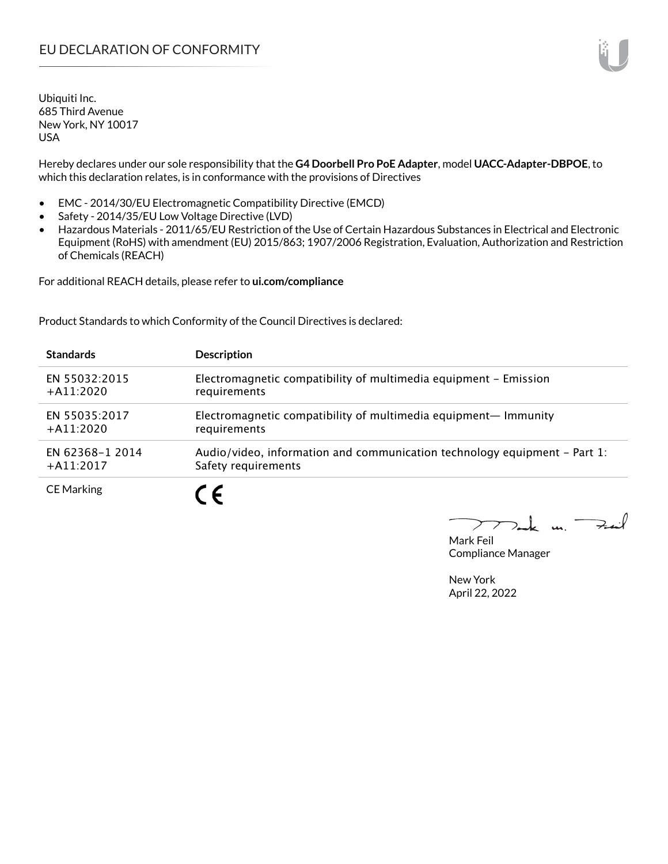Ubiquiti Inc. 685 Third Avenue New York, NY 10017 USA

Hereby declares under our sole responsibility that the **G4 Doorbell Pro PoE Adapter**, model **UACC-Adapter-DBPOE**, to which this declaration relates, is in conformance with the provisions of Directives

- EMC 2014/30/EU Electromagnetic Compatibility Directive (EMCD)
- Safety 2014/35/EU Low Voltage Directive (LVD)
- Hazardous Materials 2011/65/EU Restriction of the Use of Certain Hazardous Substances in Electrical and Electronic Equipment (RoHS) with amendment (EU) 2015/863; 1907/2006 Registration, Evaluation, Authorization and Restriction of Chemicals (REACH)

For additional REACH details, please refer to **ui.com/compliance**

Product Standards to which Conformity of the Council Directives is declared:

| <b>Standards</b>  | <b>Description</b>                                                        |
|-------------------|---------------------------------------------------------------------------|
| EN 55032:2015     | Electromagnetic compatibility of multimedia equipment - Emission          |
| $+A11:2020$       | requirements                                                              |
| EN 55035:2017     | Electromagnetic compatibility of multimedia equipment- Immunity           |
| $+$ A11:2020      | requirements                                                              |
| EN 62368-1 2014   | Audio/video, information and communication technology equipment – Part 1: |
| $+A11:2017$       | Safety requirements                                                       |
| <b>CE Marking</b> |                                                                           |

Dank m. Fail  $\geq$ 

Mark Feil Compliance Manager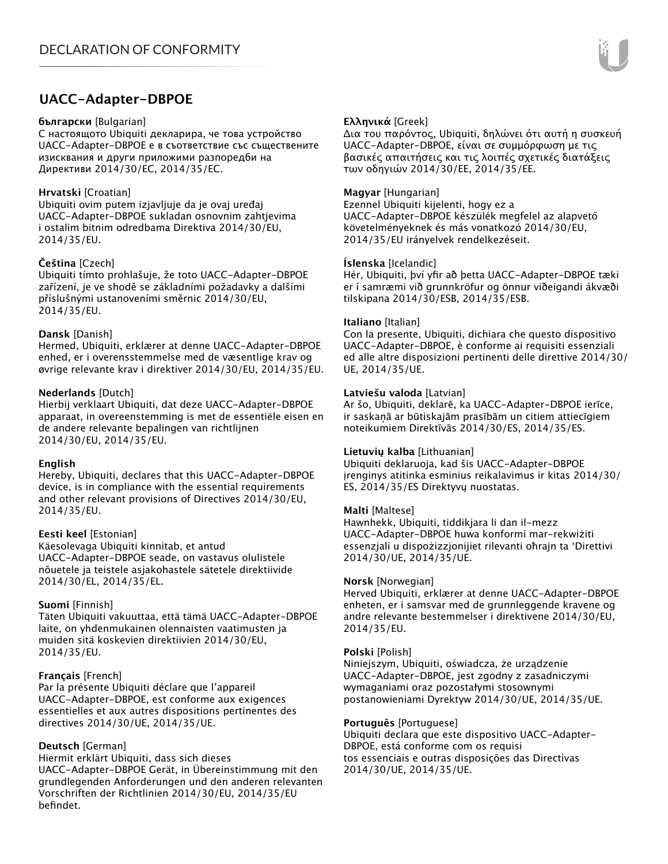## **UACC-Adapter-DBPOE**

#### **български** [Bulgarian]

С настоящото Ubiquiti декларира, че това устройство UACC-Adapter-DBPOE е в съответствие със съществените изисквания и други приложими разпоредби на Директиви 2014/30/ЕС, 2014/35/ЕС.

### **Hrvatski** [Croatian]

Ubiquiti ovim putem izjavljuje da je ovaj uređaj UACC-Adapter-DBPOE sukladan osnovnim zahtjevima i ostalim bitnim odredbama Direktiva 2014/30/EU, 2014/35/EU.

### **Čeština** [Czech]

Ubiquiti tímto prohlašuje, že toto UACC-Adapter-DBPOE zařízení, je ve shodě se základními požadavky a dalšími příslušnými ustanoveními směrnic 2014/30/EU, 2014/35/EU.

### **Dansk** [Danish]

Hermed, Ubiquiti, erklærer at denne UACC-Adapter-DBPOE enhed, er i overensstemmelse med de væsentlige krav og øvrige relevante krav i direktiver 2014/30/EU, 2014/35/EU.

### **Nederlands** [Dutch]

Hierbij verklaart Ubiquiti, dat deze UACC-Adapter-DBPOE apparaat, in overeenstemming is met de essentiële eisen en de andere relevante bepalingen van richtlijnen 2014/30/EU, 2014/35/EU.

### **English**

Hereby, Ubiquiti, declares that this UACC-Adapter-DBPOE device, is in compliance with the essential requirements and other relevant provisions of Directives 2014/30/EU, 2014/35/EU.

### **Eesti keel** [Estonian]

Käesolevaga Ubiquiti kinnitab, et antud UACC-Adapter-DBPOE seade, on vastavus olulistele nõuetele ja teistele asjakohastele sätetele direktiivide 2014/30/EL, 2014/35/EL.

### **Suomi** [Finnish]

Täten Ubiquiti vakuuttaa, että tämä UACC-Adapter-DBPOE laite, on yhdenmukainen olennaisten vaatimusten ja muiden sitä koskevien direktiivien 2014/30/EU, 2014/35/EU.

### **Français** [French]

Par la présente Ubiquiti déclare que l'appareil UACC-Adapter-DBPOE, est conforme aux exigences essentielles et aux autres dispositions pertinentes des directives 2014/30/UE, 2014/35/UE.

### **Deutsch** [German]

Hiermit erklärt Ubiquiti, dass sich dieses

UACC-Adapter-DBPOE Gerät, in Übereinstimmung mit den grundlegenden Anforderungen und den anderen relevanten Vorschriften der Richtlinien 2014/30/EU, 2014/35/EU befindet.

### **Ελληνικά** [Greek]

Δια του παρόντος, Ubiquiti, δηλώνει ότι αυτή η συσκευή UACC-Adapter-DBPOE, είναι σε συμμόρφωση με τις βασικές απαιτήσεις και τις λοιπές σχετικές διατάξεις των οδηγιών 2014/30/EE, 2014/35/EE.

### **Magyar** [Hungarian]

Ezennel Ubiquiti kijelenti, hogy ez a UACC-Adapter-DBPOE készülék megfelel az alapvető követelményeknek és más vonatkozó 2014/30/EU, 2014/35/EU irányelvek rendelkezéseit.

### **Íslenska** [Icelandic]

Hér, Ubiquiti, því yfir að þetta UACC-Adapter-DBPOE tæki er í samræmi við grunnkröfur og önnur viðeigandi ákvæði tilskipana 2014/30/ESB, 2014/35/ESB.

### **Italiano** [Italian]

Con la presente, Ubiquiti, dichiara che questo dispositivo UACC-Adapter-DBPOE, è conforme ai requisiti essenziali ed alle altre disposizioni pertinenti delle direttive 2014/30/ UE, 2014/35/UE.

### **Latviešu valoda** [Latvian]

Ar šo, Ubiquiti, deklarē, ka UACC-Adapter-DBPOE ierīce, ir saskaņā ar būtiskajām prasībām un citiem attiecīgiem noteikumiem Direktīvās 2014/30/ES, 2014/35/ES.

### **Lietuvių kalba** [Lithuanian]

Ubiquiti deklaruoja, kad šis UACC-Adapter-DBPOE įrenginys atitinka esminius reikalavimus ir kitas 2014/30/ ES, 2014/35/ES Direktyvų nuostatas.

### **Malti** [Maltese]

Hawnhekk, Ubiquiti, tiddikjara li dan il-mezz UACC-Adapter-DBPOE huwa konformi mar-rekwiżiti essenzjali u dispożizzjonijiet rilevanti oħrajn ta 'Direttivi 2014/30/UE, 2014/35/UE.

### **Norsk** [Norwegian]

Herved Ubiquiti, erklærer at denne UACC-Adapter-DBPOE enheten, er i samsvar med de grunnleggende kravene og andre relevante bestemmelser i direktivene 2014/30/EU, 2014/35/EU.

### **Polski** [Polish]

Niniejszym, Ubiquiti, oświadcza, że urządzenie UACC-Adapter-DBPOE, jest zgodny z zasadniczymi wymaganiami oraz pozostałymi stosownymi postanowieniami Dyrektyw 2014/30/UE, 2014/35/UE.

### **Português** [Portuguese]

Ubiquiti declara que este dispositivo UACC-Adapter-DBPOE, está conforme com os requisi tos essenciais e outras disposições das Directivas 2014/30/UE, 2014/35/UE.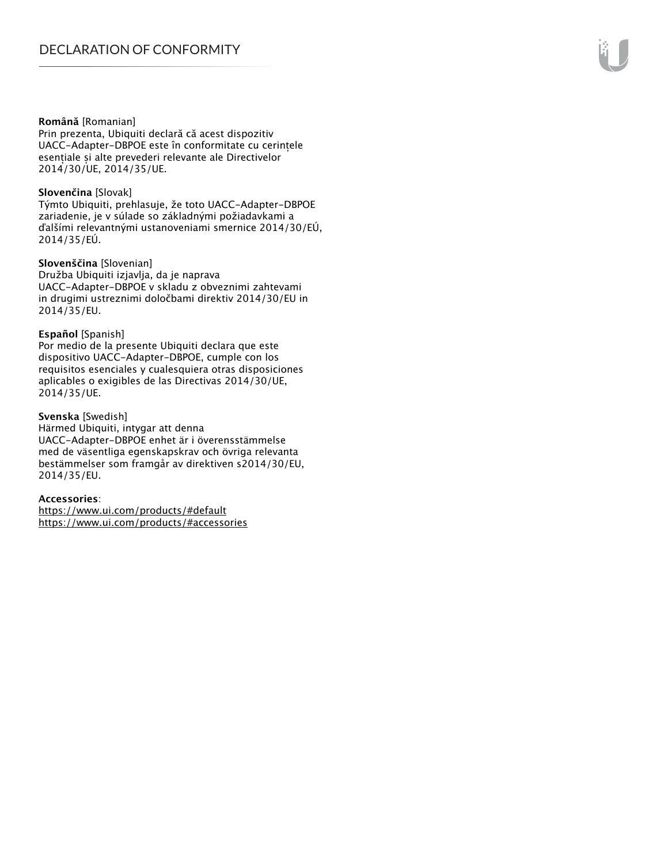#### **Română** [Romanian]

Prin prezenta, Ubiquiti declară că acest dispozitiv UACC-Adapter-DBPOE este în conformitate cu cerințele esențiale și alte prevederi relevante ale Directivelor 2014/30/UE, 2014/35/UE.

#### **Slovenčina** [Slovak]

Týmto Ubiquiti, prehlasuje, že toto UACC-Adapter-DBPOE zariadenie, je v súlade so základnými požiadavkami a ďalšími relevantnými ustanoveniami smernice 2014/30/EÚ, 2014/35/EÚ.

#### **Slovenščina** [Slovenian]

Družba Ubiquiti izjavlja, da je naprava UACC-Adapter-DBPOE v skladu z obveznimi zahtevami in drugimi ustreznimi določbami direktiv 2014/30/EU in 2014/35/EU.

#### **Español** [Spanish]

Por medio de la presente Ubiquiti declara que este dispositivo UACC-Adapter-DBPOE, cumple con los requisitos esenciales y cualesquiera otras disposiciones aplicables o exigibles de las Directivas 2014/30/UE, 2014/35/UE.

#### **Svenska** [Swedish]

Härmed Ubiquiti, intygar att denna UACC-Adapter-DBPOE enhet är i överensstämmelse med de väsentliga egenskapskrav och övriga relevanta bestämmelser som framgår av direktiven s2014/30/EU, 2014/35/EU.

#### **Accessories**:

https://www.ui.com/products/#default https://www.ui.com/products/#accessories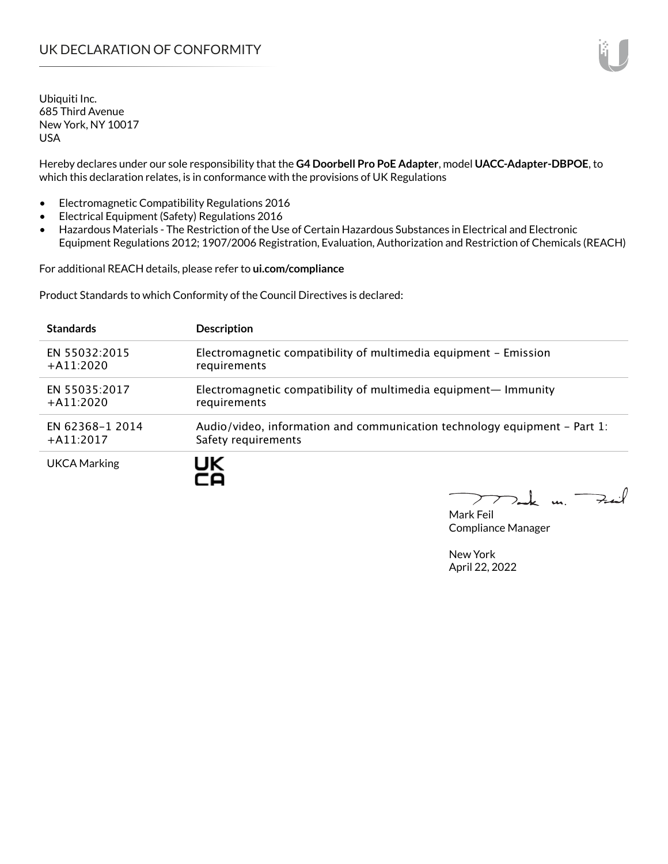Ubiquiti Inc. 685 Third Avenue New York, NY 10017 USA

Hereby declares under our sole responsibility that the **G4 Doorbell Pro PoE Adapter**, model **UACC-Adapter-DBPOE**, to which this declaration relates, is in conformance with the provisions of UK Regulations

- Electromagnetic Compatibility Regulations 2016
- Electrical Equipment (Safety) Regulations 2016
- Hazardous Materials The Restriction of the Use of Certain Hazardous Substances in Electrical and Electronic Equipment Regulations 2012; 1907/2006 Registration, Evaluation, Authorization and Restriction of Chemicals (REACH)

For additional REACH details, please refer to **ui.com/compliance**

Product Standards to which Conformity of the Council Directives is declared:

| <b>Standards</b>    | <b>Description</b>                                                        |
|---------------------|---------------------------------------------------------------------------|
| EN 55032:2015       | Electromagnetic compatibility of multimedia equipment - Emission          |
| $+A11:2020$         | requirements                                                              |
| EN 55035:2017       | Electromagnetic compatibility of multimedia equipment— Immunity           |
| $+$ A11:2020        | requirements                                                              |
| EN 62368-1 2014     | Audio/video, information and communication technology equipment – Part 1: |
| $+$ A11:2017        | Safety requirements                                                       |
| <b>UKCA Marking</b> | UK                                                                        |

Tak m. Fail  $\blacktriangleright$ 

Mark Feil Compliance Manager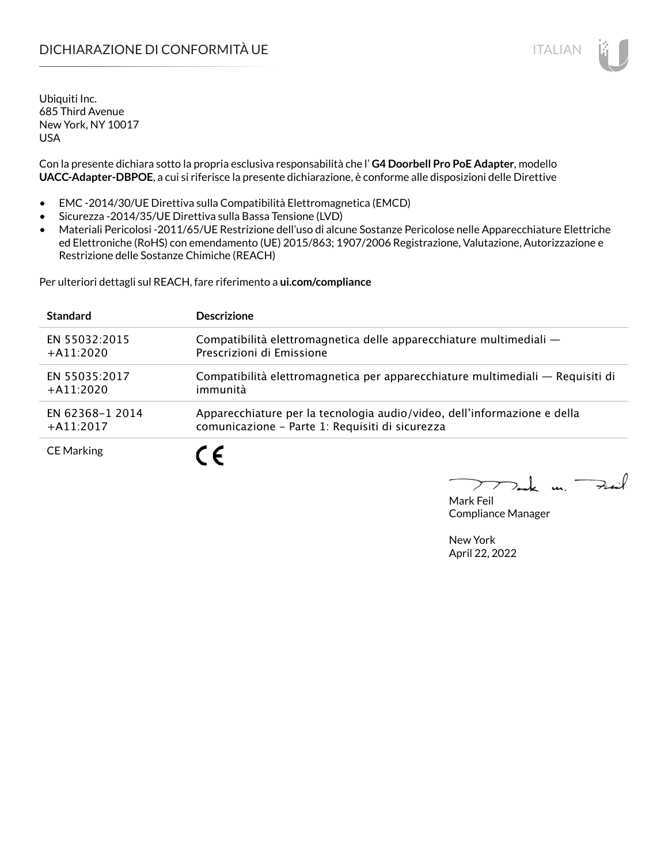# DICHIARAZIONE DI CONFORMITÀ UE ITALIAN ITALIAN

Ubiquiti Inc. 685 Third Avenue New York, NY 10017 USA

Con la presente dichiara sotto la propria esclusiva responsabilità che l' **G4 Doorbell Pro PoE Adapter**, modello **UACC-Adapter-DBPOE**, a cui si riferisce la presente dichiarazione, è conforme alle disposizioni delle Direttive

- EMC -2014/30/UE Direttiva sulla Compatibilità Elettromagnetica (EMCD)
- Sicurezza -2014/35/UE Direttiva sulla Bassa Tensione (LVD)
- Materiali Pericolosi -2011/65/UE Restrizione dell'uso di alcune Sostanze Pericolose nelle Apparecchiature Elettriche ed Elettroniche (RoHS) con emendamento (UE) 2015/863; 1907/2006 Registrazione, Valutazione, Autorizzazione e Restrizione delle Sostanze Chimiche (REACH)

Per ulteriori dettagli sul REACH, fare riferimento a **ui.com/compliance**

| <b>Standard</b>   | <b>Descrizione</b>                                                             |
|-------------------|--------------------------------------------------------------------------------|
| EN 55032:2015     | Compatibilità elettromagnetica delle apparecchiature multimediali -            |
| $+A11:2020$       | Prescrizioni di Emissione                                                      |
| EN 55035:2017     | Compatibilità elettromagnetica per apparecchiature multimediali — Requisiti di |
| $+A11:2020$       | immunità                                                                       |
| EN 62368-1 2014   | Apparecchiature per la tecnologia audio/video, dell'informazione e della       |
| $+$ A11:2017      | comunicazione - Parte 1: Requisiti di sicurezza                                |
| <b>CE Marking</b> |                                                                                |

 $\Rightarrow$ iil  $\overline{u}$ 

Mark Feil Compliance Manager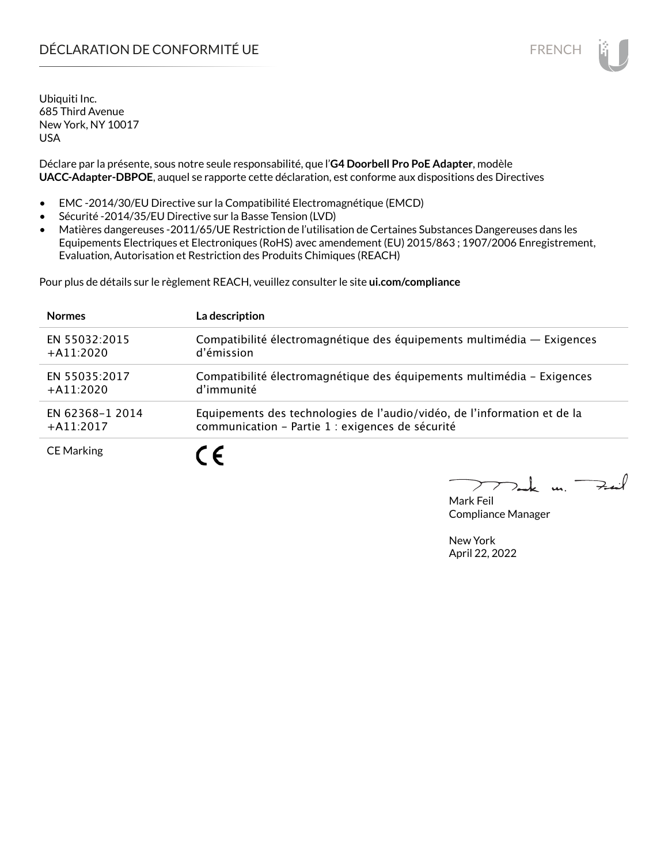# DÉCLARATION DE CONFORMITÉ UE EN ENCHANGEMENT DE CONFORMITÉ UNE ENCHANGEMENT DE CONFORMITÉ UNE ENCHANGEMENT DE

Ubiquiti Inc. 685 Third Avenue New York, NY 10017 USA

Déclare par la présente, sous notre seule responsabilité, que l'**G4 Doorbell Pro PoE Adapter**, modèle **UACC-Adapter-DBPOE**, auquel se rapporte cette déclaration, est conforme aux dispositions des Directives

- EMC -2014/30/EU Directive sur la Compatibilité Electromagnétique (EMCD)
- Sécurité -2014/35/EU Directive sur la Basse Tension (LVD)
- Matières dangereuses -2011/65/UE Restriction de l'utilisation de Certaines Substances Dangereuses dans les Equipements Electriques et Electroniques (RoHS) avec amendement (EU) 2015/863 ; 1907/2006 Enregistrement, Evaluation, Autorisation et Restriction des Produits Chimiques (REACH)

Pour plus de détails sur le règlement REACH, veuillez consulter le site **ui.com/compliance**

| <b>Normes</b>     | <b>La description</b>                                                    |
|-------------------|--------------------------------------------------------------------------|
| EN 55032:2015     | Compatibilité électromagnétique des équipements multimédia — Exigences   |
| $+$ A11:2020      | d'émission                                                               |
| EN 55035:2017     | Compatibilité électromagnétique des équipements multimédia - Exigences   |
| $+$ A11:2020      | d'immunité                                                               |
| EN 62368-1 2014   | Equipements des technologies de l'audio/vidéo, de l'information et de la |
| $+$ A11:2017      | communication - Partie 1 : exigences de sécurité                         |
| <b>CE Marking</b> |                                                                          |

لأبدحت  $\mathbf{u}$ 

Mark Feil Compliance Manager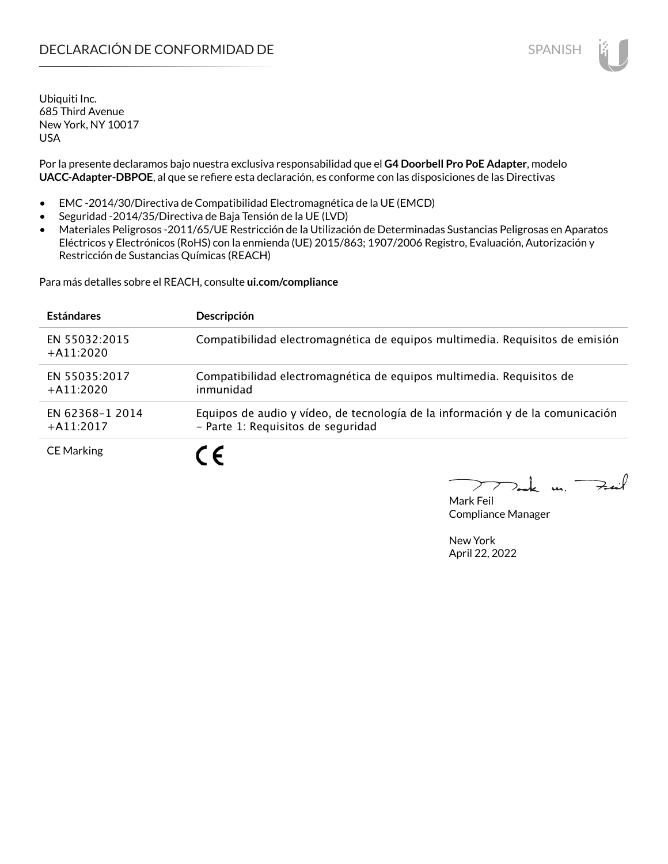# **DECLARACIÓN DE CONFORMIDAD DE SPANISH EN EL SERVIS EN EL SERVISH**

Ubiquiti Inc. 685 Third Avenue New York, NY 10017 USA

Por la presente declaramos bajo nuestra exclusiva responsabilidad que el **G4 Doorbell Pro PoE Adapter**, modelo **UACC-Adapter-DBPOE**, al que se refiere esta declaración, es conforme con las disposiciones de las Directivas

- EMC -2014/30/Directiva de Compatibilidad Electromagnética de la UE (EMCD)
- Seguridad -2014/35/Directiva de Baja Tensión de la UE (LVD)
- Materiales Peligrosos -2011/65/UE Restricción de la Utilización de Determinadas Sustancias Peligrosas en Aparatos Eléctricos y Electrónicos (RoHS) con la enmienda (UE) 2015/863; 1907/2006 Registro, Evaluación, Autorización y Restricción de Sustancias Químicas (REACH)

Para más detalles sobre el REACH, consulte **ui.com/compliance**

| <b>Estándares</b>               | Descripción                                                                                                          |
|---------------------------------|----------------------------------------------------------------------------------------------------------------------|
| EN 55032:2015<br>$+A11:2020$    | Compatibilidad electromagnética de equipos multimedia. Requisitos de emisión                                         |
| EN 55035:2017<br>$+A11:2020$    | Compatibilidad electromagnética de equipos multimedia. Requisitos de<br>inmunidad                                    |
| EN 62368-1 2014<br>$+$ A11:2017 | Equipos de audio y vídeo, de tecnología de la información y de la comunicación<br>- Parte 1: Requisitos de seguridad |
| <b>CE Marking</b>               | - 6                                                                                                                  |

Mark Feil Compliance Manager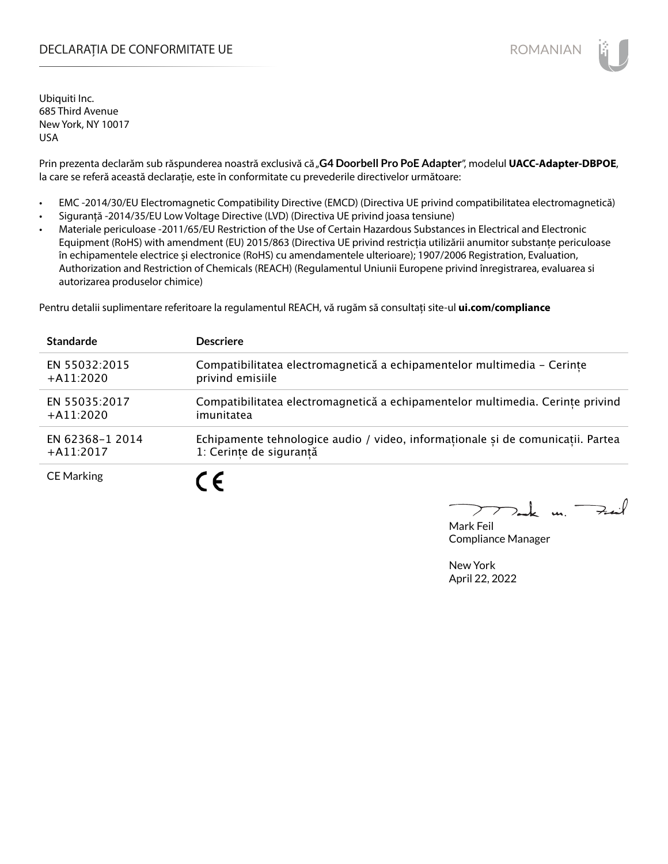## DECLARAȚIA DE CONFORMITATE UE EXTERNATION ANNO 1999 EN ANNO 1999 ROMANIAN

Ubiquiti Inc. 685 Third Avenue New York, NY 10017 USA

Prin prezenta declarăm sub răspunderea noastră exclusivă că "**G4 Doorbell Pro PoE Adapter**", modelul **UACC-Adapter-DBPOE**, la care se referă această declarație, este în conformitate cu prevederile directivelor următoare:

- EMC -2014/30/EU Electromagnetic Compatibility Directive (EMCD) (Directiva UE privind compatibilitatea electromagnetică)
- Siguranță -2014/35/EU Low Voltage Directive (LVD) (Directiva UE privind joasa tensiune)
- Materiale periculoase -2011/65/EU Restriction of the Use of Certain Hazardous Substances in Electrical and Electronic Equipment (RoHS) with amendment (EU) 2015/863 (Directiva UE privind restricția utilizării anumitor substanțe periculoase în echipamentele electrice și electronice (RoHS) cu amendamentele ulterioare); 1907/2006 Registration, Evaluation, Authorization and Restriction of Chemicals (REACH) (Regulamentul Uniunii Europene privind înregistrarea, evaluarea si autorizarea produselor chimice)

Pentru detalii suplimentare referitoare la regulamentul REACH, vă rugăm să consultați site-ul **ui.com/compliance**

| <b>Standarde</b>  | <b>Descriere</b>                                                                |
|-------------------|---------------------------------------------------------------------------------|
| EN 55032:2015     | Compatibilitatea electromagnetică a echipamentelor multimedia - Cerinte         |
| $+A11:2020$       | privind emisiile                                                                |
| EN 55035:2017     | Compatibilitatea electromagnetică a echipamentelor multimedia. Cerințe privind  |
| $+A11:2020$       | imunitatea                                                                      |
| EN 62368-1 2014   | Echipamente tehnologice audio / video, informaționale și de comunicații. Partea |
| $+A11:2017$       | 1: Cerințe de siguranță                                                         |
| <b>CE Marking</b> |                                                                                 |

 $m.$  Fail

Mark Feil Compliance Manager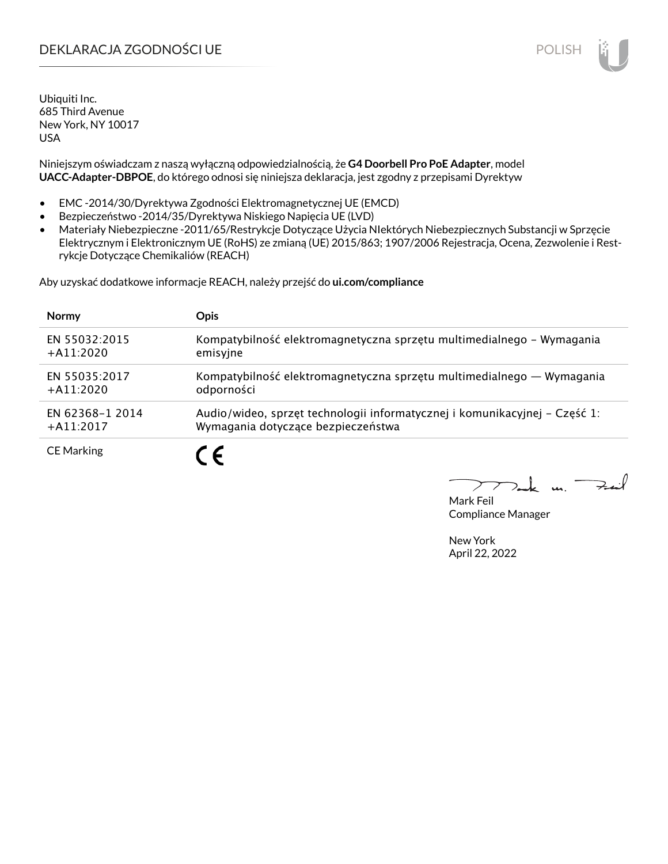# DEKLARACJA ZGODNOŚCI UE POLISH

Ubiquiti Inc. 685 Third Avenue New York, NY 10017 USA

Niniejszym oświadczam z naszą wyłączną odpowiedzialnością, że **G4 Doorbell Pro PoE Adapter**, model **UACC-Adapter-DBPOE**, do którego odnosi się niniejsza deklaracja, jest zgodny z przepisami Dyrektyw

- EMC -2014/30/Dyrektywa Zgodności Elektromagnetycznej UE (EMCD)
- Bezpieczeństwo -2014/35/Dyrektywa Niskiego Napięcia UE (LVD)
- Materiały Niebezpieczne -2011/65/Restrykcje Dotyczące Użycia NIektórych Niebezpiecznych Substancji w Sprzęcie Elektrycznym i Elektronicznym UE (RoHS) ze zmianą (UE) 2015/863; 1907/2006 Rejestracja, Ocena, Zezwolenie i Restrykcje Dotyczące Chemikaliów (REACH)

Aby uzyskać dodatkowe informacje REACH, należy przejść do **ui.com/compliance**

| <b>Normy</b>      | <b>Opis</b>                                                                |
|-------------------|----------------------------------------------------------------------------|
| EN 55032:2015     | Kompatybilność elektromagnetyczna sprzętu multimedialnego – Wymagania      |
| $+$ A11:2020      | emisyjne                                                                   |
| EN 55035:2017     | Kompatybilność elektromagnetyczna sprzętu multimedialnego — Wymagania      |
| $+A11:2020$       | odporności                                                                 |
| EN 62368-1 2014   | Audio/wideo, sprzęt technologii informatycznej i komunikacyjnej – Część 1: |
| $+$ A11:2017      | Wymagania dotyczące bezpieczeństwa                                         |
| <b>CE Marking</b> |                                                                            |

 $\mathbf{u}$ 

Mark Feil Compliance Manager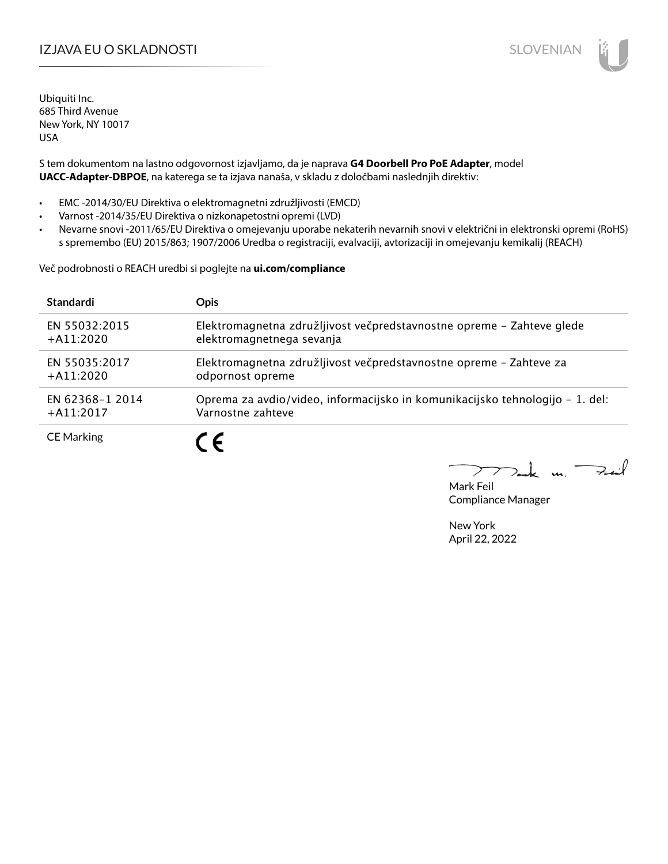# IZJAVA EU O SKLADNOSTI SLOVENIAN

Ubiquiti Inc. 685 Third Avenue New York, NY 10017 USA

S tem dokumentom na lastno odgovornost izjavljamo, da je naprava **G4 Doorbell Pro PoE Adapter**, model **UACC-Adapter-DBPOE**, na katerega se ta izjava nanaša, v skladu z določbami naslednjih direktiv:

- EMC -2014/30/EU Direktiva o elektromagnetni združljivosti (EMCD)
- Varnost -2014/35/EU Direktiva o nizkonapetostni opremi (LVD)
- Nevarne snovi -2011/65/EU Direktiva o omejevanju uporabe nekaterih nevarnih snovi v električni in elektronski opremi (RoHS) s spremembo (EU) 2015/863; 1907/2006 Uredba o registraciji, evalvaciji, avtorizaciji in omejevanju kemikalij (REACH)

Več podrobnosti o REACH uredbi si poglejte na **ui.com/compliance**

| <b>Standardi</b>  | <b>Opis</b>                                                                  |
|-------------------|------------------------------------------------------------------------------|
| EN 55032:2015     | Elektromagnetna združljivost večpredstavnostne opreme - Zahteve glede        |
| $+$ A11:2020      | elektromagnetnega sevanja                                                    |
| EN 55035:2017     | Elektromagnetna združljivost večpredstavnostne opreme - Zahteve za           |
| $+$ A11:2020      | odpornost opreme                                                             |
| EN 62368-1 2014   | Oprema za avdio/video, informacijsko in komunikacijsko tehnologijo – 1. del: |
| $+$ A11:2017      | Varnostne zahteve                                                            |
| <b>CE Marking</b> |                                                                              |

 $k$  un  $\rightarrow$ 

Mark Feil Compliance Manager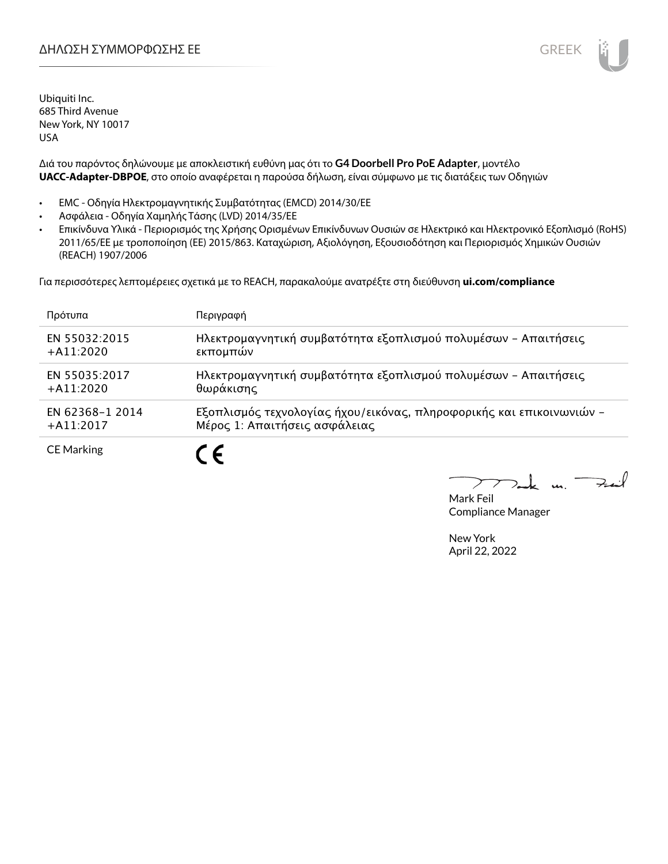### ΔΗΛΩΣΗ ΣΥΜΜΟΡΦΩΣΗΣ ΕΕ GREEK GREEK GREEK GREEK GREEK GREEK GREEK GREEK GREEK GREEK GREEK GREEK GREEK GREEK GREEK

Ubiquiti Inc. 685 Third Avenue New York, NY 10017 USA

Διά του παρόντος δηλώνουμε με αποκλειστική ευθύνη μας ότι το **G4 Doorbell Pro PoE Adapter**, μοντέλο **UACC-Adapter-DBPOE**, στο οποίο αναφέρεται η παρούσα δήλωση, είναι σύμφωνο με τις διατάξεις των Οδηγιών

- EMC Οδηγία Ηλεκτρομαγνητικής Συμβατότητας (EMCD) 2014/30/ΕΕ
- Ασφάλεια Οδηγία Χαμηλής Τάσης (LVD) 2014/35/ΕΕ
- Επικίνδυνα Υλικά Περιορισμός της Χρήσης Ορισμένων Επικίνδυνων Ουσιών σε Ηλεκτρικό και Ηλεκτρονικό Εξοπλισμό (RoHS) 2011/65/ΕΕ με τροποποίηση (ΕΕ) 2015/863. Καταχώριση, Αξιολόγηση, Εξουσιοδότηση και Περιορισμός Χημικών Ουσιών (REACH) 1907/2006

Για περισσότερες λεπτομέρειες σχετικά με το REACH, παρακαλούμε ανατρέξτε στη διεύθυνση **ui.com/compliance**

| Πρότυπα           | Περιγραφή                                                            |
|-------------------|----------------------------------------------------------------------|
| EN 55032:2015     | Ηλεκτρομαγνητική συμβατότητα εξοπλισμού πολυμέσων - Απαιτήσεις       |
| $+$ A11:2020      | εκπομπών                                                             |
| EN 55035:2017     | Ηλεκτρομαγνητική συμβατότητα εξοπλισμού πολυμέσων - Απαιτήσεις       |
| $+A11:2020$       | θωράκισης                                                            |
| EN 62368-1 2014   | Εξοπλισμός τεχνολογίας ήχου/εικόνας, πληροφορικής και επικοινωνιών - |
| $+$ A11:2017      | Μέρος 1: Απαιτήσεις ασφάλειας                                        |
| <b>CE Marking</b> |                                                                      |

Fail t u  $\mathcal{I}$ 

Mark Feil Compliance Manager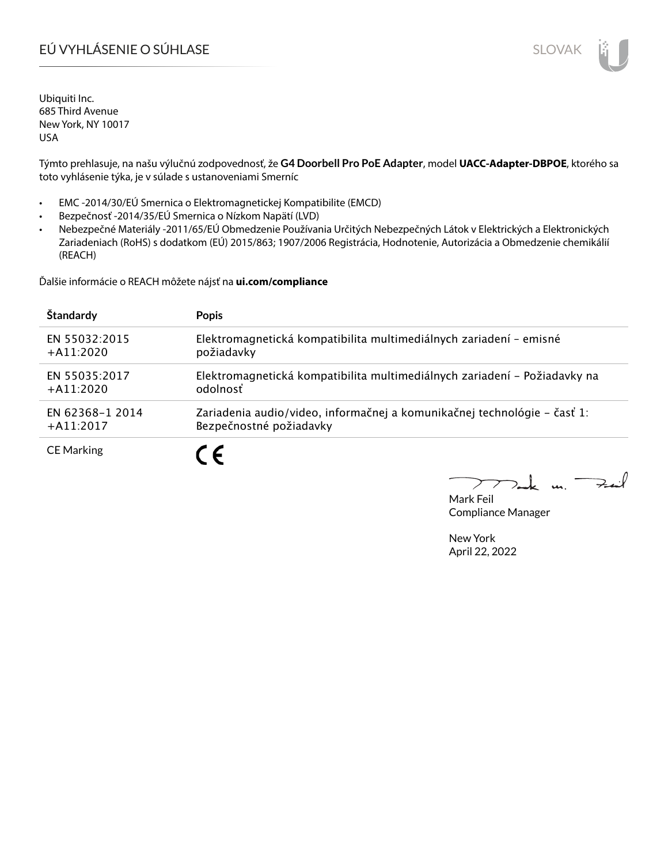# EÚ VYHLÁSENIE O SÚHLASE SLOVAK SLOVAK

Ubiquiti Inc. 685 Third Avenue New York, NY 10017 USA

Týmto prehlasuje, na našu výlučnú zodpovednosť, že **G4 Doorbell Pro PoE Adapter**, model **UACC-Adapter-DBPOE**, ktorého sa toto vyhlásenie týka, je v súlade s ustanoveniami Smerníc

- EMC -2014/30/EÚ Smernica o Elektromagnetickej Kompatibilite (EMCD)
- Bezpečnosť -2014/35/EÚ Smernica o Nízkom Napätí (LVD)
- Nebezpečné Materiály -2011/65/EÚ Obmedzenie Používania Určitých Nebezpečných Látok v Elektrických a Elektronických Zariadeniach (RoHS) s dodatkom (EÚ) 2015/863; 1907/2006 Registrácia, Hodnotenie, Autorizácia a Obmedzenie chemikálií (REACH)

Ďalšie informácie o REACH môžete nájsť na **ui.com/compliance**

| Štandardy         | <b>Popis</b>                                                              |
|-------------------|---------------------------------------------------------------------------|
| EN 55032:2015     | Elektromagnetická kompatibilita multimediálnych zariadení - emisné        |
| $+$ A11:2020      | požiadavky                                                                |
| EN 55035:2017     | Elektromagnetická kompatibilita multimediálnych zariadení – Požiadavky na |
| $+A11:2020$       | odolnosť                                                                  |
| EN 62368-1 2014   | Zariadenia audio/video, informačnej a komunikačnej technológie – časť 1:  |
| $+$ A11:2017      | Bezpečnostné požiadavky                                                   |
| <b>CE Marking</b> |                                                                           |

 $k$  un  $\rightarrow$  $\sum$ 

Mark Feil Compliance Manager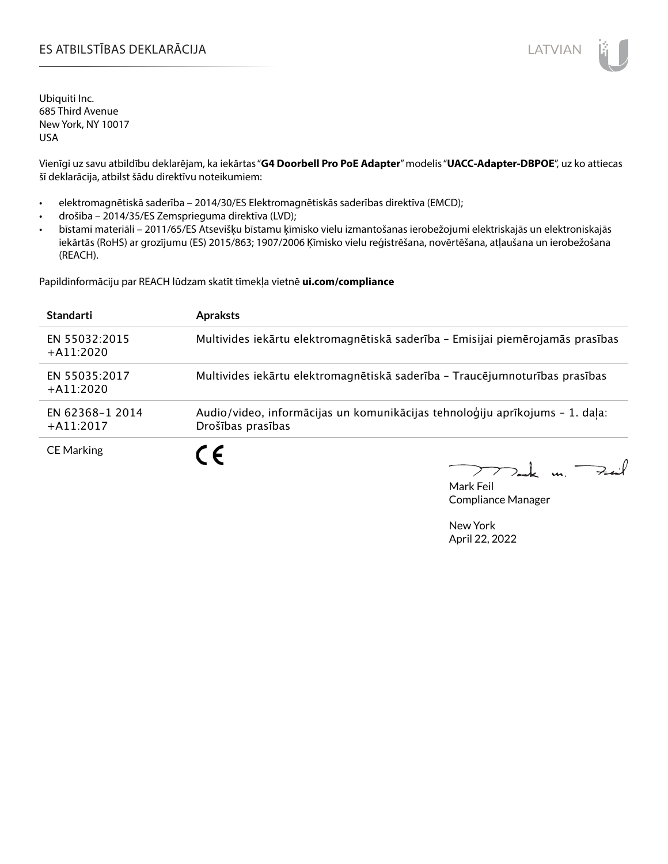## ES ATBILSTĪBAS DEKLARĀCIJA VALODAS ARĀ ATBILSTĪBAS DEKLARĀCIJA VALODAS ARĀ ATBILSTĪBAS DEKLARĀCIJA VALODAS ARĀ

Ubiquiti Inc. 685 Third Avenue New York, NY 10017 USA

Vienīgi uz savu atbildību deklarējam, ka iekārtas "**G4 Doorbell Pro PoE Adapter**" modelis "**UACC-Adapter-DBPOE**", uz ko attiecas šī deklarācija, atbilst šādu direktīvu noteikumiem:

- elektromagnētiskā saderība 2014/30/ES Elektromagnētiskās saderības direktīva (EMCD);
- drošība 2014/35/ES Zemsprieguma direktīva (LVD);
- bīstami materiāli 2011/65/ES Atsevišķu bīstamu ķīmisko vielu izmantošanas ierobežojumi elektriskajās un elektroniskajās iekārtās (RoHS) ar grozījumu (ES) 2015/863; 1907/2006 Ķīmisko vielu reģistrēšana, novērtēšana, atļaušana un ierobežošana (REACH).

Papildinformāciju par REACH lūdzam skatīt tīmekļa vietnē **ui.com/compliance**

| <b>Standarti</b>                | <b>Apraksts</b>                                                                                   |
|---------------------------------|---------------------------------------------------------------------------------------------------|
| EN 55032:2015<br>$+A11:2020$    | Multivides iekārtu elektromagnētiskā saderība - Emisijai piemērojamās prasības                    |
| EN 55035:2017<br>$+$ A11:2020   | Multivides iekārtu elektromagnētiskā saderība - Traucējumnoturības prasības                       |
| EN 62368-1 2014<br>$+$ A11:2017 | Audio/video, informācijas un komunikācijas tehnoloģiju aprīkojums - 1. daļa:<br>Drošības prasības |
| <b>CE Marking</b>               |                                                                                                   |

 $\nabla$  and  $\omega$  and  $\nabla$ 

Mark Feil Compliance Manager